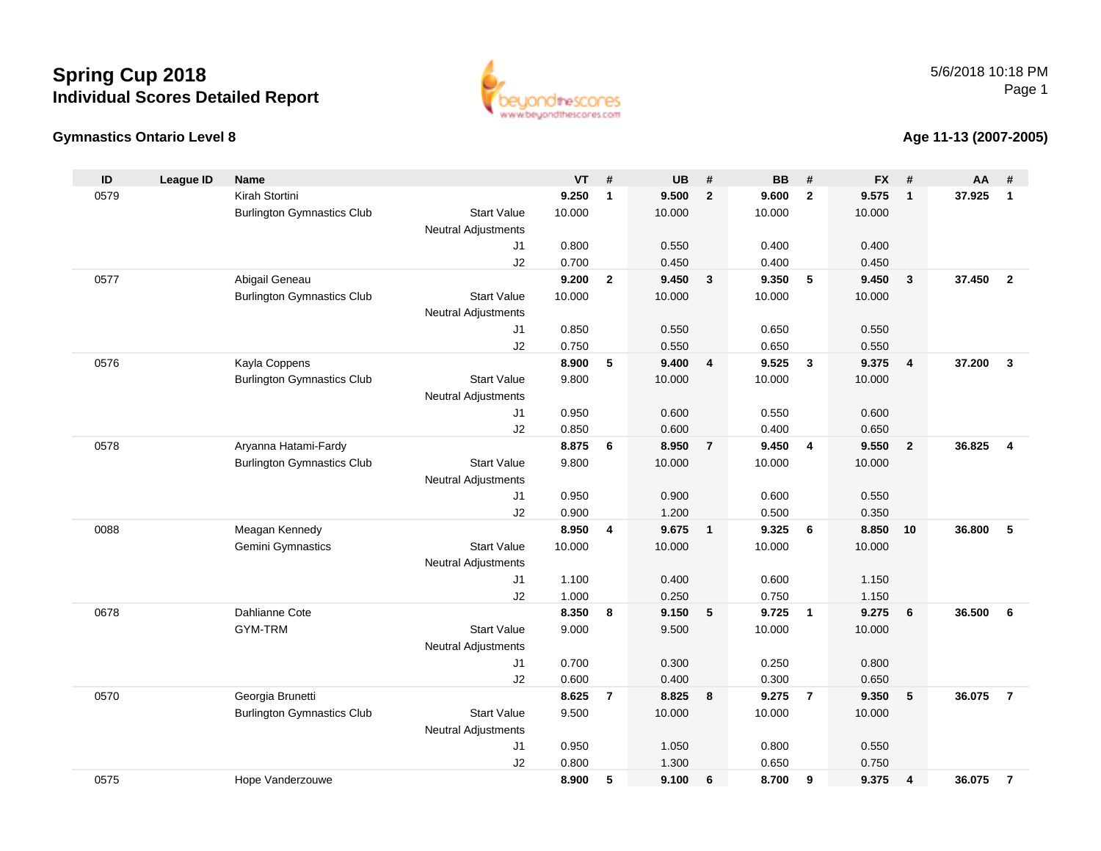



### **Age 11-13 (2007-2005)**

| ID   | <b>League ID</b> | Name                              |                            | <b>VT</b> | #              | <b>UB</b> | #                       | <b>BB</b> | #                       | <b>FX</b> | #                       | AA     | #                       |
|------|------------------|-----------------------------------|----------------------------|-----------|----------------|-----------|-------------------------|-----------|-------------------------|-----------|-------------------------|--------|-------------------------|
| 0579 |                  | Kirah Stortini                    |                            | 9.250     | $\mathbf{1}$   | 9.500     | $\overline{2}$          | 9.600     | $\overline{2}$          | 9.575     | $\overline{1}$          | 37.925 | $\mathbf{1}$            |
|      |                  | <b>Burlington Gymnastics Club</b> | <b>Start Value</b>         | 10.000    |                | 10.000    |                         | 10.000    |                         | 10.000    |                         |        |                         |
|      |                  |                                   | <b>Neutral Adjustments</b> |           |                |           |                         |           |                         |           |                         |        |                         |
|      |                  |                                   | J1                         | 0.800     |                | 0.550     |                         | 0.400     |                         | 0.400     |                         |        |                         |
|      |                  |                                   | J2                         | 0.700     |                | 0.450     |                         | 0.400     |                         | 0.450     |                         |        |                         |
| 0577 |                  | Abigail Geneau                    |                            | 9.200     | $\mathbf{2}$   | 9.450     | $\mathbf{3}$            | 9.350     | 5                       | 9.450     | $\overline{\mathbf{3}}$ | 37.450 | $\overline{2}$          |
|      |                  | <b>Burlington Gymnastics Club</b> | <b>Start Value</b>         | 10.000    |                | 10.000    |                         | 10.000    |                         | 10.000    |                         |        |                         |
|      |                  |                                   | <b>Neutral Adjustments</b> |           |                |           |                         |           |                         |           |                         |        |                         |
|      |                  |                                   | J <sub>1</sub>             | 0.850     |                | 0.550     |                         | 0.650     |                         | 0.550     |                         |        |                         |
|      |                  |                                   | J2                         | 0.750     |                | 0.550     |                         | 0.650     |                         | 0.550     |                         |        |                         |
| 0576 |                  | Kayla Coppens                     |                            | 8.900     | 5              | 9.400     | $\overline{\mathbf{4}}$ | 9.525     | $\overline{\mathbf{3}}$ | 9.375     | $\overline{4}$          | 37.200 | $\overline{3}$          |
|      |                  | <b>Burlington Gymnastics Club</b> | <b>Start Value</b>         | 9.800     |                | 10.000    |                         | 10.000    |                         | 10.000    |                         |        |                         |
|      |                  |                                   | <b>Neutral Adjustments</b> |           |                |           |                         |           |                         |           |                         |        |                         |
|      |                  |                                   | J <sub>1</sub>             | 0.950     |                | 0.600     |                         | 0.550     |                         | 0.600     |                         |        |                         |
|      |                  |                                   | J2                         | 0.850     |                | 0.600     |                         | 0.400     |                         | 0.650     |                         |        |                         |
| 0578 |                  | Aryanna Hatami-Fardy              |                            | 8.875     | 6              | 8.950     | $\overline{7}$          | 9.450     | $\overline{4}$          | 9.550     | $\overline{2}$          | 36.825 | $\overline{\mathbf{4}}$ |
|      |                  | <b>Burlington Gymnastics Club</b> | <b>Start Value</b>         | 9.800     |                | 10.000    |                         | 10.000    |                         | 10.000    |                         |        |                         |
|      |                  |                                   | Neutral Adjustments        |           |                |           |                         |           |                         |           |                         |        |                         |
|      |                  |                                   | J1                         | 0.950     |                | 0.900     |                         | 0.600     |                         | 0.550     |                         |        |                         |
|      |                  |                                   | J2                         | 0.900     |                | 1.200     |                         | 0.500     |                         | 0.350     |                         |        |                         |
| 0088 |                  | Meagan Kennedy                    |                            | 8.950     | 4              | 9.675     | $\overline{1}$          | 9.325     | 6                       | 8.850     | 10                      | 36.800 | 5                       |
|      |                  | Gemini Gymnastics                 | <b>Start Value</b>         | 10.000    |                | 10.000    |                         | 10.000    |                         | 10.000    |                         |        |                         |
|      |                  |                                   | Neutral Adjustments        |           |                |           |                         |           |                         |           |                         |        |                         |
|      |                  |                                   | J1                         | 1.100     |                | 0.400     |                         | 0.600     |                         | 1.150     |                         |        |                         |
|      |                  |                                   | J2                         | 1.000     |                | 0.250     |                         | 0.750     |                         | 1.150     |                         |        |                         |
| 0678 |                  | Dahlianne Cote                    |                            | 8.350     | 8              | 9.150     | $5\phantom{.0}$         | 9.725     | $\overline{\mathbf{1}}$ | 9.275     | 6                       | 36.500 | 6                       |
|      |                  | GYM-TRM                           | <b>Start Value</b>         | 9.000     |                | 9.500     |                         | 10.000    |                         | 10.000    |                         |        |                         |
|      |                  |                                   | <b>Neutral Adjustments</b> |           |                |           |                         |           |                         |           |                         |        |                         |
|      |                  |                                   | J1                         | 0.700     |                | 0.300     |                         | 0.250     |                         | 0.800     |                         |        |                         |
|      |                  |                                   | J2                         | 0.600     |                | 0.400     |                         | 0.300     |                         | 0.650     |                         |        |                         |
| 0570 |                  | Georgia Brunetti                  |                            | 8.625     | $\overline{7}$ | 8.825     | 8                       | 9.275     | $\overline{7}$          | 9.350     | 5                       | 36.075 | $\overline{7}$          |
|      |                  | <b>Burlington Gymnastics Club</b> | <b>Start Value</b>         | 9.500     |                | 10.000    |                         | 10.000    |                         | 10.000    |                         |        |                         |
|      |                  |                                   | <b>Neutral Adjustments</b> |           |                |           |                         |           |                         |           |                         |        |                         |
|      |                  |                                   | J1                         | 0.950     |                | 1.050     |                         | 0.800     |                         | 0.550     |                         |        |                         |
|      |                  |                                   | J2                         | 0.800     |                | 1.300     |                         | 0.650     |                         | 0.750     |                         |        |                         |
| 0575 |                  | Hope Vanderzouwe                  |                            | 8.900     | 5              | 9.100     | 6                       | 8.700     | 9                       | 9.375     | $\overline{4}$          | 36.075 | $\overline{7}$          |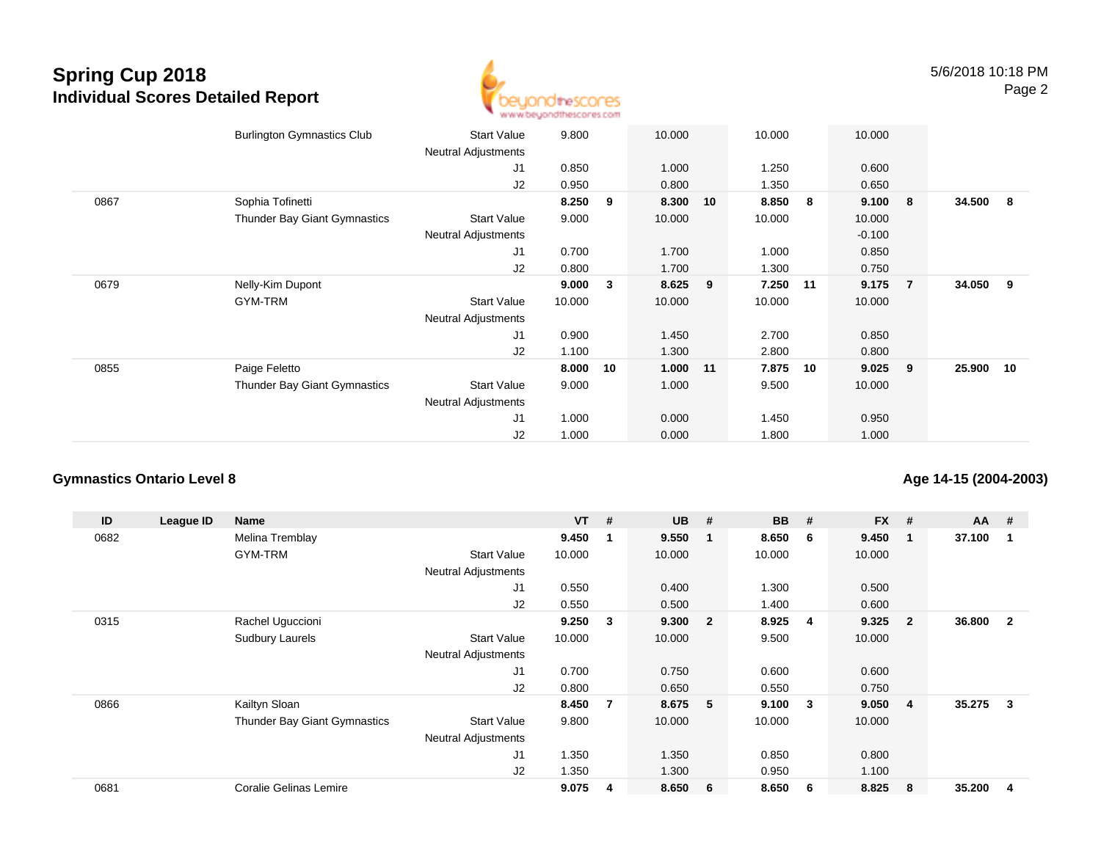

|      | <b>Burlington Gymnastics Club</b>   | <b>Start Value</b><br><b>Neutral Adjustments</b> | 9.800  |    | 10.000     |    | 10.000 |    | 10.000   |                |           |     |
|------|-------------------------------------|--------------------------------------------------|--------|----|------------|----|--------|----|----------|----------------|-----------|-----|
|      |                                     | J1                                               | 0.850  |    | 1.000      |    | 1.250  |    | 0.600    |                |           |     |
|      |                                     | J2                                               | 0.950  |    | 0.800      |    | 1.350  |    | 0.650    |                |           |     |
| 0867 | Sophia Tofinetti                    |                                                  | 8.250  | 9  | 8.300      | 10 | 8.850  | 8  | 9.100    | - 8            | 34.500    | - 8 |
|      | <b>Thunder Bay Giant Gymnastics</b> | <b>Start Value</b>                               | 9.000  |    | 10.000     |    | 10.000 |    | 10.000   |                |           |     |
|      |                                     | <b>Neutral Adjustments</b>                       |        |    |            |    |        |    | $-0.100$ |                |           |     |
|      |                                     | J1                                               | 0.700  |    | 1.700      |    | 1.000  |    | 0.850    |                |           |     |
|      |                                     | J2                                               | 0.800  |    | 1.700      |    | 1.300  |    | 0.750    |                |           |     |
| 0679 | Nelly-Kim Dupont                    |                                                  | 9.000  | 3  | 8.625      | 9  | 7.250  | 11 | 9.175    | $\overline{7}$ | 34.050 9  |     |
|      | GYM-TRM                             | Start Value                                      | 10.000 |    | 10.000     |    | 10.000 |    | 10.000   |                |           |     |
|      |                                     | <b>Neutral Adjustments</b>                       |        |    |            |    |        |    |          |                |           |     |
|      |                                     | J1                                               | 0.900  |    | 1.450      |    | 2.700  |    | 0.850    |                |           |     |
|      |                                     | J2                                               | 1.100  |    | 1.300      |    | 2.800  |    | 0.800    |                |           |     |
| 0855 | Paige Feletto                       |                                                  | 8.000  | 10 | $1.000$ 11 |    | 7.875  | 10 | 9.025    | 9              | 25.900 10 |     |
|      | Thunder Bay Giant Gymnastics        | <b>Start Value</b>                               | 9.000  |    | 1.000      |    | 9.500  |    | 10.000   |                |           |     |
|      |                                     | <b>Neutral Adjustments</b>                       |        |    |            |    |        |    |          |                |           |     |
|      |                                     | J <sub>1</sub>                                   | 1.000  |    | 0.000      |    | 1.450  |    | 0.950    |                |           |     |
|      |                                     | J2                                               | 1.000  |    | 0.000      |    | 1.800  |    | 1.000    |                |           |     |
|      |                                     |                                                  |        |    |            |    |        |    |          |                |           |     |

#### **Gymnastics Ontario Level 8**

**Age 14-15 (2004-2003)**

| ID   | League ID | Name                          |                            | $VT$ # |                         | <b>UB</b> | #                       | <b>BB</b> | #              | <b>FX</b> | #              | $AA$ # |              |
|------|-----------|-------------------------------|----------------------------|--------|-------------------------|-----------|-------------------------|-----------|----------------|-----------|----------------|--------|--------------|
| 0682 |           | Melina Tremblay               |                            | 9.450  |                         | 9.550     | $\mathbf 1$             | 8.650     | -6             | 9.450     |                | 37.100 |              |
|      |           | GYM-TRM                       | <b>Start Value</b>         | 10.000 |                         | 10.000    |                         | 10.000    |                | 10.000    |                |        |              |
|      |           |                               | <b>Neutral Adjustments</b> |        |                         |           |                         |           |                |           |                |        |              |
|      |           |                               | J1                         | 0.550  |                         | 0.400     |                         | 1.300     |                | 0.500     |                |        |              |
|      |           |                               | J <sub>2</sub>             | 0.550  |                         | 0.500     |                         | 1.400     |                | 0.600     |                |        |              |
| 0315 |           | Rachel Uguccioni              |                            | 9.250  | $\overline{\mathbf{3}}$ | 9.300     | $\overline{\mathbf{2}}$ | 8.925     | $\overline{4}$ | 9.325     | $\overline{2}$ | 36.800 | $\mathbf{2}$ |
|      |           | <b>Sudbury Laurels</b>        | <b>Start Value</b>         | 10.000 |                         | 10.000    |                         | 9.500     |                | 10.000    |                |        |              |
|      |           |                               | <b>Neutral Adjustments</b> |        |                         |           |                         |           |                |           |                |        |              |
|      |           |                               | J1                         | 0.700  |                         | 0.750     |                         | 0.600     |                | 0.600     |                |        |              |
|      |           |                               | J2                         | 0.800  |                         | 0.650     |                         | 0.550     |                | 0.750     |                |        |              |
| 0866 |           | Kailtyn Sloan                 |                            | 8.450  | 7                       | 8.675     | - 5                     | 9.100     | -3             | 9.050     | 4              | 35.275 | 3            |
|      |           | Thunder Bay Giant Gymnastics  | <b>Start Value</b>         | 9.800  |                         | 10.000    |                         | 10.000    |                | 10.000    |                |        |              |
|      |           |                               | <b>Neutral Adjustments</b> |        |                         |           |                         |           |                |           |                |        |              |
|      |           |                               | J1                         | 1.350  |                         | 1.350     |                         | 0.850     |                | 0.800     |                |        |              |
|      |           |                               | J <sub>2</sub>             | 1.350  |                         | 1.300     |                         | 0.950     |                | 1.100     |                |        |              |
| 0681 |           | <b>Coralie Gelinas Lemire</b> |                            | 9.075  | 4                       | 8.650     | - 6                     | 8.650     | 6              | 8.825     | 8              | 35.200 | 4            |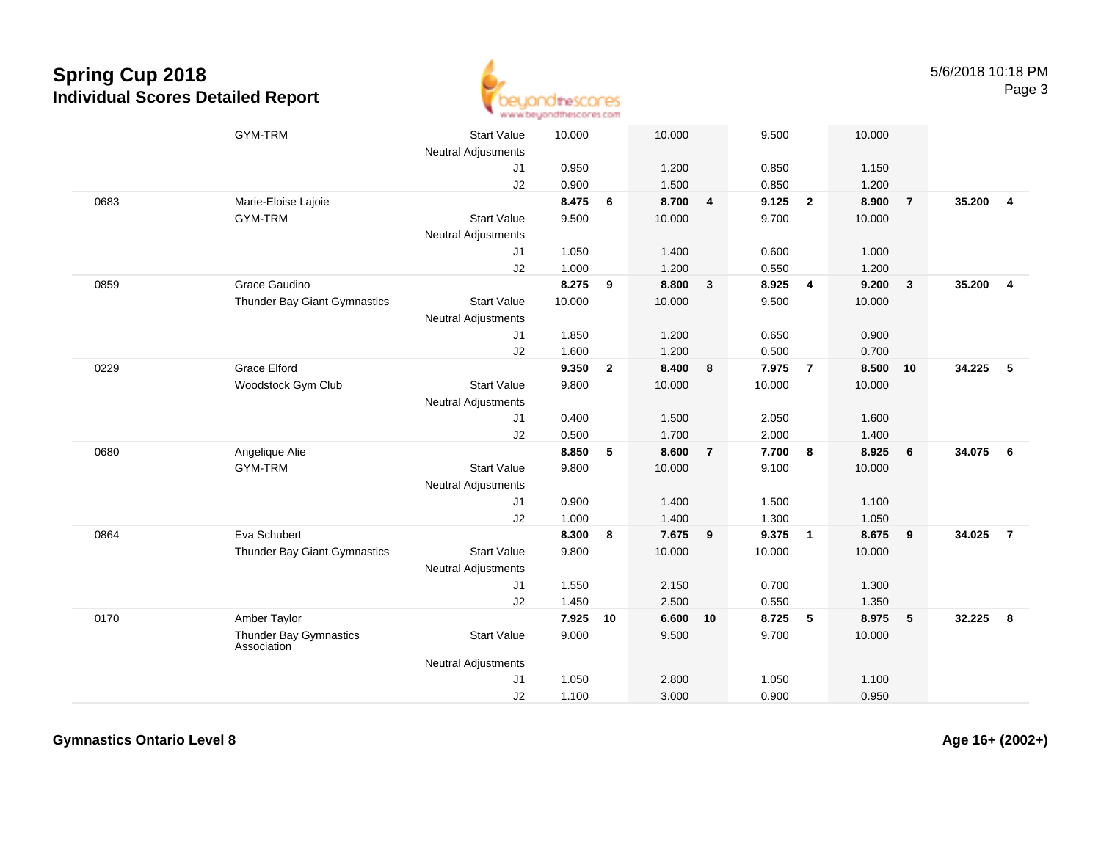

|      | GYM-TRM                               | <b>Start Value</b>         | 10.000 |                | 10.000 |                | 9.500  |                         | 10.000 |                         |        |                |
|------|---------------------------------------|----------------------------|--------|----------------|--------|----------------|--------|-------------------------|--------|-------------------------|--------|----------------|
|      |                                       | <b>Neutral Adjustments</b> |        |                |        |                |        |                         |        |                         |        |                |
|      |                                       | J1                         | 0.950  |                | 1.200  |                | 0.850  |                         | 1.150  |                         |        |                |
|      |                                       | J2                         | 0.900  |                | 1.500  |                | 0.850  |                         | 1.200  |                         |        |                |
| 0683 | Marie-Eloise Lajoie                   |                            | 8.475  | 6              | 8.700  | 4              | 9.125  | $\overline{2}$          | 8.900  | $\overline{7}$          | 35.200 | $\overline{4}$ |
|      | <b>GYM-TRM</b>                        | <b>Start Value</b>         | 9.500  |                | 10.000 |                | 9.700  |                         | 10.000 |                         |        |                |
|      |                                       | <b>Neutral Adjustments</b> |        |                |        |                |        |                         |        |                         |        |                |
|      |                                       | J <sub>1</sub>             | 1.050  |                | 1.400  |                | 0.600  |                         | 1.000  |                         |        |                |
|      |                                       | J2                         | 1.000  |                | 1.200  |                | 0.550  |                         | 1.200  |                         |        |                |
| 0859 | Grace Gaudino                         |                            | 8.275  | 9              | 8.800  | 3              | 8.925  | $\overline{\mathbf{4}}$ | 9.200  | $\overline{\mathbf{3}}$ | 35.200 | $\overline{4}$ |
|      | Thunder Bay Giant Gymnastics          | <b>Start Value</b>         | 10.000 |                | 10.000 |                | 9.500  |                         | 10.000 |                         |        |                |
|      |                                       | <b>Neutral Adjustments</b> |        |                |        |                |        |                         |        |                         |        |                |
|      |                                       | J1                         | 1.850  |                | 1.200  |                | 0.650  |                         | 0.900  |                         |        |                |
|      |                                       | J2                         | 1.600  |                | 1.200  |                | 0.500  |                         | 0.700  |                         |        |                |
| 0229 | <b>Grace Elford</b>                   |                            | 9.350  | $\overline{2}$ | 8.400  | 8              | 7.975  | $\overline{7}$          | 8.500  | 10                      | 34.225 | 5              |
|      | Woodstock Gym Club                    | <b>Start Value</b>         | 9.800  |                | 10.000 |                | 10.000 |                         | 10.000 |                         |        |                |
|      |                                       | Neutral Adjustments        |        |                |        |                |        |                         |        |                         |        |                |
|      |                                       | J1                         | 0.400  |                | 1.500  |                | 2.050  |                         | 1.600  |                         |        |                |
|      |                                       | J2                         | 0.500  |                | 1.700  |                | 2.000  |                         | 1.400  |                         |        |                |
| 0680 | Angelique Alie                        |                            | 8.850  | 5              | 8.600  | $\overline{7}$ | 7.700  | 8                       | 8.925  | 6                       | 34.075 | 6              |
|      | <b>GYM-TRM</b>                        | <b>Start Value</b>         | 9.800  |                | 10.000 |                | 9.100  |                         | 10.000 |                         |        |                |
|      |                                       | <b>Neutral Adjustments</b> |        |                |        |                |        |                         |        |                         |        |                |
|      |                                       | J <sub>1</sub>             | 0.900  |                | 1.400  |                | 1.500  |                         | 1.100  |                         |        |                |
|      |                                       | J2                         | 1.000  |                | 1.400  |                | 1.300  |                         | 1.050  |                         |        |                |
| 0864 | Eva Schubert                          |                            | 8.300  | 8              | 7.675  | 9              | 9.375  | $\overline{1}$          | 8.675  | 9                       | 34.025 | $\overline{7}$ |
|      | Thunder Bay Giant Gymnastics          | <b>Start Value</b>         | 9.800  |                | 10.000 |                | 10.000 |                         | 10.000 |                         |        |                |
|      |                                       | <b>Neutral Adjustments</b> |        |                |        |                |        |                         |        |                         |        |                |
|      |                                       | J1                         | 1.550  |                | 2.150  |                | 0.700  |                         | 1.300  |                         |        |                |
|      |                                       | J2                         | 1.450  |                | 2.500  |                | 0.550  |                         | 1.350  |                         |        |                |
| 0170 | Amber Taylor                          |                            | 7.925  | 10             | 6.600  | 10             | 8.725  | 5                       | 8.975  | $-5$                    | 32.225 | 8              |
|      | Thunder Bay Gymnastics<br>Association | <b>Start Value</b>         | 9.000  |                | 9.500  |                | 9.700  |                         | 10.000 |                         |        |                |
|      |                                       | <b>Neutral Adjustments</b> |        |                |        |                |        |                         |        |                         |        |                |
|      |                                       | J1                         | 1.050  |                | 2.800  |                | 1.050  |                         | 1.100  |                         |        |                |
|      |                                       | J2                         | 1.100  |                | 3.000  |                | 0.900  |                         | 0.950  |                         |        |                |

**Gymnastics Ontario Level 8**

**Age 16+ (2002+)**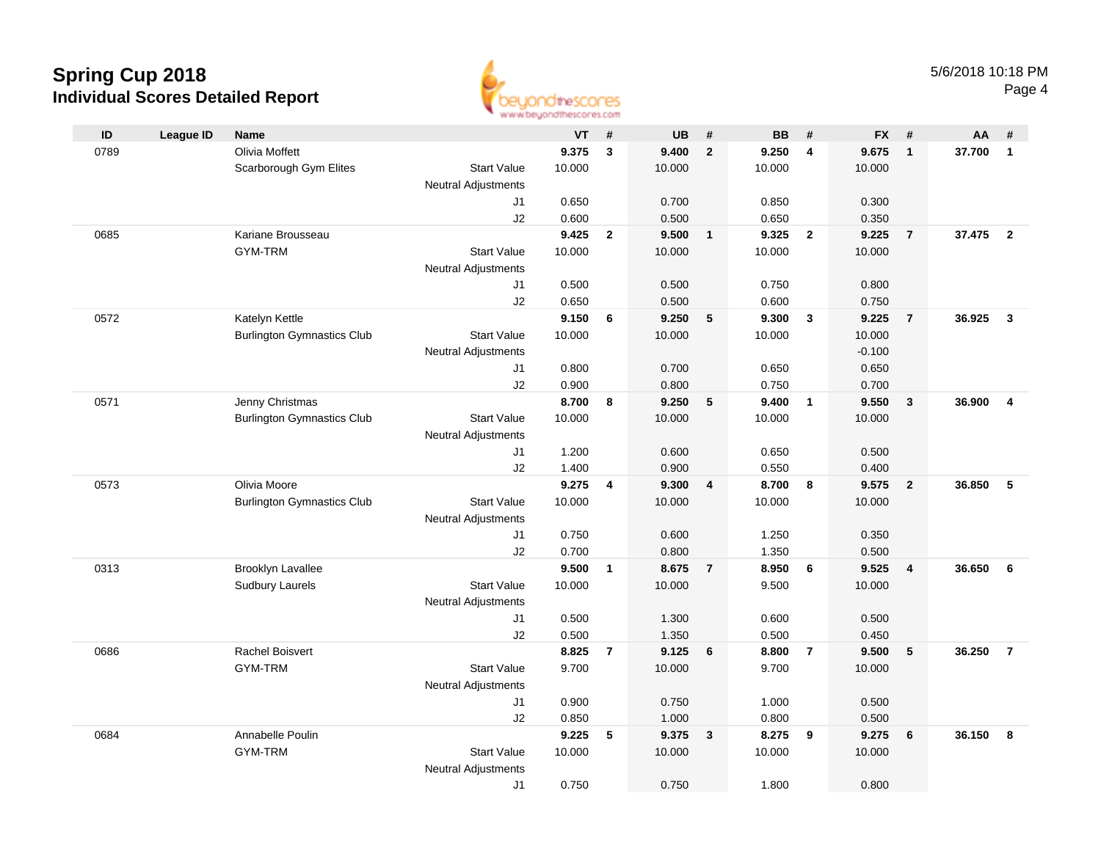

|      |                  |                                   |                            | <b>THE THE THE NEW YORK PART PARTY PRESS</b> |                |           |                         |           |                  |           |                         |        |                         |
|------|------------------|-----------------------------------|----------------------------|----------------------------------------------|----------------|-----------|-------------------------|-----------|------------------|-----------|-------------------------|--------|-------------------------|
| ID   | <b>League ID</b> | <b>Name</b>                       |                            | VT                                           | #              | <b>UB</b> | #                       | <b>BB</b> | #                | <b>FX</b> | #                       | AA     | #                       |
| 0789 |                  | Olivia Moffett                    |                            | 9.375                                        | $\mathbf{3}$   | 9.400     | $\mathbf{2}$            | 9.250     | 4                | 9.675     | $\overline{1}$          | 37.700 | $\mathbf{1}$            |
|      |                  | Scarborough Gym Elites            | <b>Start Value</b>         | 10.000                                       |                | 10.000    |                         | 10.000    |                  | 10.000    |                         |        |                         |
|      |                  |                                   | <b>Neutral Adjustments</b> |                                              |                |           |                         |           |                  |           |                         |        |                         |
|      |                  |                                   | J1                         | 0.650                                        |                | 0.700     |                         | 0.850     |                  | 0.300     |                         |        |                         |
|      |                  |                                   | J2                         | 0.600                                        |                | 0.500     |                         | 0.650     |                  | 0.350     |                         |        |                         |
| 0685 |                  | Kariane Brousseau                 |                            | 9.425                                        | $\overline{2}$ | 9.500     | $\overline{\mathbf{1}}$ | 9.325     | $\overline{2}$   | 9.225     | $\overline{7}$          | 37.475 | $\overline{\mathbf{2}}$ |
|      |                  | <b>GYM-TRM</b>                    | <b>Start Value</b>         | 10.000                                       |                | 10.000    |                         | 10.000    |                  | 10.000    |                         |        |                         |
|      |                  |                                   | <b>Neutral Adjustments</b> |                                              |                |           |                         |           |                  |           |                         |        |                         |
|      |                  |                                   | J1                         | 0.500                                        |                | 0.500     |                         | 0.750     |                  | 0.800     |                         |        |                         |
|      |                  |                                   | J <sub>2</sub>             | 0.650                                        |                | 0.500     |                         | 0.600     |                  | 0.750     |                         |        |                         |
| 0572 |                  | Katelyn Kettle                    |                            | 9.150                                        | 6              | 9.250     | 5                       | 9.300     | $\mathbf{3}$     | 9.225     | $\overline{7}$          | 36.925 | $\mathbf{3}$            |
|      |                  | <b>Burlington Gymnastics Club</b> | <b>Start Value</b>         | 10.000                                       |                | 10.000    |                         | 10.000    |                  | 10.000    |                         |        |                         |
|      |                  |                                   | <b>Neutral Adjustments</b> |                                              |                |           |                         |           |                  | $-0.100$  |                         |        |                         |
|      |                  |                                   | J1                         | 0.800                                        |                | 0.700     |                         | 0.650     |                  | 0.650     |                         |        |                         |
|      |                  |                                   | J2                         | 0.900                                        |                | 0.800     |                         | 0.750     |                  | 0.700     |                         |        |                         |
| 0571 |                  | Jenny Christmas                   |                            | 8.700                                        | 8              | 9.250     | 5                       | 9.400     | $\overline{1}$   | 9.550     | $\overline{\mathbf{3}}$ | 36.900 | $\overline{\mathbf{4}}$ |
|      |                  | <b>Burlington Gymnastics Club</b> | <b>Start Value</b>         | 10.000                                       |                | 10.000    |                         | 10.000    |                  | 10.000    |                         |        |                         |
|      |                  |                                   | <b>Neutral Adjustments</b> |                                              |                |           |                         |           |                  |           |                         |        |                         |
|      |                  |                                   | J1                         | 1.200                                        |                | 0.600     |                         | 0.650     |                  | 0.500     |                         |        |                         |
|      |                  |                                   | J2                         | 1.400                                        |                | 0.900     |                         | 0.550     |                  | 0.400     |                         |        |                         |
| 0573 |                  | Olivia Moore                      |                            | 9.275                                        | 4              | 9.300     | 4                       | 8.700     | $\boldsymbol{8}$ | 9.575     | $\overline{2}$          | 36.850 | 5                       |
|      |                  | <b>Burlington Gymnastics Club</b> | <b>Start Value</b>         | 10.000                                       |                | 10.000    |                         | 10.000    |                  | 10.000    |                         |        |                         |
|      |                  |                                   | <b>Neutral Adjustments</b> | 0.750                                        |                | 0.600     |                         | 1.250     |                  | 0.350     |                         |        |                         |
|      |                  |                                   | J1<br>J2                   | 0.700                                        |                | 0.800     |                         | 1.350     |                  | 0.500     |                         |        |                         |
| 0313 |                  | <b>Brooklyn Lavallee</b>          |                            | 9.500                                        | $\mathbf{1}$   | 8.675     | $\overline{7}$          | 8.950     | - 6              | 9.525     | $\overline{4}$          | 36.650 | 6                       |
|      |                  | <b>Sudbury Laurels</b>            | <b>Start Value</b>         | 10.000                                       |                | 10.000    |                         | 9.500     |                  | 10.000    |                         |        |                         |
|      |                  |                                   | <b>Neutral Adjustments</b> |                                              |                |           |                         |           |                  |           |                         |        |                         |
|      |                  |                                   | J1                         | 0.500                                        |                | 1.300     |                         | 0.600     |                  | 0.500     |                         |        |                         |
|      |                  |                                   | J2                         | 0.500                                        |                | 1.350     |                         | 0.500     |                  | 0.450     |                         |        |                         |
| 0686 |                  | Rachel Boisvert                   |                            | 8.825                                        | $\overline{7}$ | 9.125     | $6\phantom{1}6$         | 8.800     | $\overline{7}$   | 9.500     | 5                       | 36.250 | $\overline{7}$          |
|      |                  | GYM-TRM                           | <b>Start Value</b>         | 9.700                                        |                | 10.000    |                         | 9.700     |                  | 10.000    |                         |        |                         |
|      |                  |                                   | <b>Neutral Adjustments</b> |                                              |                |           |                         |           |                  |           |                         |        |                         |
|      |                  |                                   | J1                         | 0.900                                        |                | 0.750     |                         | 1.000     |                  | 0.500     |                         |        |                         |
|      |                  |                                   | J2                         | 0.850                                        |                | 1.000     |                         | 0.800     |                  | 0.500     |                         |        |                         |
| 0684 |                  | Annabelle Poulin                  |                            | 9.225                                        | 5              | 9.375     | $\mathbf{3}$            | 8.275     | 9                | 9.275     | $6\phantom{1}6$         | 36.150 | 8                       |
|      |                  | GYM-TRM                           | <b>Start Value</b>         | 10.000                                       |                | 10.000    |                         | 10.000    |                  | 10.000    |                         |        |                         |
|      |                  |                                   | <b>Neutral Adjustments</b> |                                              |                |           |                         |           |                  |           |                         |        |                         |
|      |                  |                                   | J1                         | 0.750                                        |                | 0.750     |                         | 1.800     |                  | 0.800     |                         |        |                         |
|      |                  |                                   |                            |                                              |                |           |                         |           |                  |           |                         |        |                         |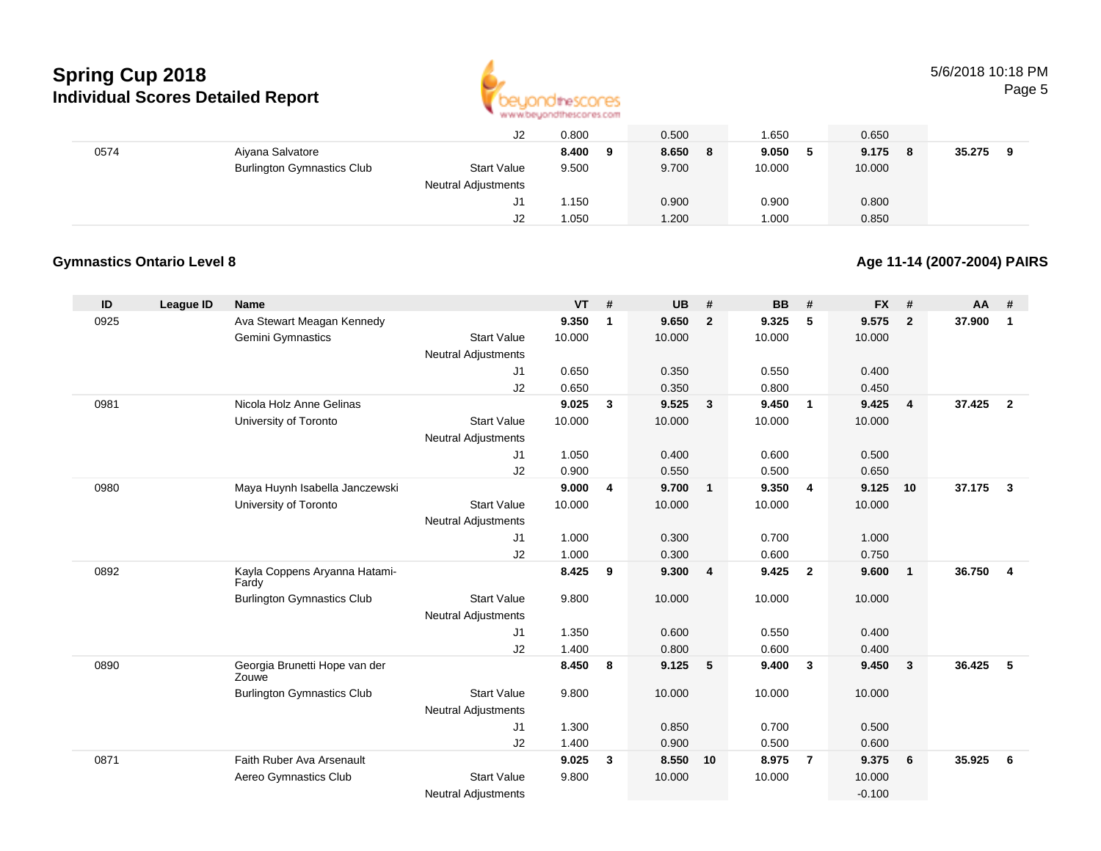

|      |                                   | J2                         | 0.800       | 0.500      | .650    | 0.650        |             |
|------|-----------------------------------|----------------------------|-------------|------------|---------|--------------|-------------|
| 0574 | Aiyana Salvatore                  |                            | 8.400<br>-9 | 8.650<br>8 | 9.050 5 | 9.175<br>- 8 | 35.275<br>9 |
|      | <b>Burlington Gymnastics Club</b> | <b>Start Value</b>         | 9.500       | 9.700      | 10.000  | 10.000       |             |
|      |                                   | <b>Neutral Adjustments</b> |             |            |         |              |             |
|      |                                   | J1                         | 1.50        | 0.900      | 0.900   | 0.800        |             |
|      |                                   | J2                         | 1.050       | 1.200      | .000    | 0.850        |             |

#### **Gymnastics Ontario Level 8**

#### **Age 11-14 (2007-2004) PAIRS**

| ID   | <b>League ID</b> | <b>Name</b>                            |                            | $VT$ # |              | <b>UB</b> | #              | <b>BB</b> | #                       | <b>FX</b> | #              | AA     | #              |
|------|------------------|----------------------------------------|----------------------------|--------|--------------|-----------|----------------|-----------|-------------------------|-----------|----------------|--------|----------------|
| 0925 |                  | Ava Stewart Meagan Kennedy             |                            | 9.350  | $\mathbf 1$  | 9.650     | $\overline{2}$ | 9.325     | 5                       | 9.575     | $\overline{2}$ | 37.900 | $\mathbf{1}$   |
|      |                  | Gemini Gymnastics                      | <b>Start Value</b>         | 10.000 |              | 10.000    |                | 10.000    |                         | 10.000    |                |        |                |
|      |                  |                                        | <b>Neutral Adjustments</b> |        |              |           |                |           |                         |           |                |        |                |
|      |                  |                                        | J1                         | 0.650  |              | 0.350     |                | 0.550     |                         | 0.400     |                |        |                |
|      |                  |                                        | J2                         | 0.650  |              | 0.350     |                | 0.800     |                         | 0.450     |                |        |                |
| 0981 |                  | Nicola Holz Anne Gelinas               |                            | 9.025  | $\mathbf{3}$ | 9.525     | $\mathbf{3}$   | 9.450     | $\overline{1}$          | 9.425     | $\overline{4}$ | 37.425 | $\overline{2}$ |
|      |                  | University of Toronto                  | <b>Start Value</b>         | 10.000 |              | 10.000    |                | 10.000    |                         | 10.000    |                |        |                |
|      |                  |                                        | <b>Neutral Adjustments</b> |        |              |           |                |           |                         |           |                |        |                |
|      |                  |                                        | J1                         | 1.050  |              | 0.400     |                | 0.600     |                         | 0.500     |                |        |                |
|      |                  |                                        | J2                         | 0.900  |              | 0.550     |                | 0.500     |                         | 0.650     |                |        |                |
| 0980 |                  | Maya Huynh Isabella Janczewski         |                            | 9.000  | 4            | 9.700     | $\mathbf{1}$   | 9.350     | $\overline{4}$          | 9.125     | 10             | 37.175 | $\mathbf{3}$   |
|      |                  | University of Toronto                  | <b>Start Value</b>         | 10.000 |              | 10.000    |                | 10.000    |                         | 10.000    |                |        |                |
|      |                  |                                        | <b>Neutral Adjustments</b> |        |              |           |                |           |                         |           |                |        |                |
|      |                  |                                        | J1                         | 1.000  |              | 0.300     |                | 0.700     |                         | 1.000     |                |        |                |
|      |                  |                                        | J2                         | 1.000  |              | 0.300     |                | 0.600     |                         | 0.750     |                |        |                |
| 0892 |                  | Kayla Coppens Aryanna Hatami-<br>Fardy |                            | 8.425  | 9            | 9.300     | $\overline{4}$ | 9.425     | $\overline{\mathbf{2}}$ | 9.600     | $\overline{1}$ | 36.750 | $\overline{4}$ |
|      |                  | <b>Burlington Gymnastics Club</b>      | <b>Start Value</b>         | 9.800  |              | 10.000    |                | 10.000    |                         | 10.000    |                |        |                |
|      |                  |                                        | <b>Neutral Adjustments</b> |        |              |           |                |           |                         |           |                |        |                |
|      |                  |                                        | J1                         | 1.350  |              | 0.600     |                | 0.550     |                         | 0.400     |                |        |                |
|      |                  |                                        | J2                         | 1.400  |              | 0.800     |                | 0.600     |                         | 0.400     |                |        |                |
| 0890 |                  | Georgia Brunetti Hope van der<br>Zouwe |                            | 8.450  | 8            | 9.125     | 5              | 9.400     | $\mathbf{3}$            | 9.450     | $\mathbf{3}$   | 36.425 | -5             |
|      |                  | <b>Burlington Gymnastics Club</b>      | <b>Start Value</b>         | 9.800  |              | 10.000    |                | 10.000    |                         | 10.000    |                |        |                |
|      |                  |                                        | <b>Neutral Adjustments</b> |        |              |           |                |           |                         |           |                |        |                |
|      |                  |                                        | J1                         | 1.300  |              | 0.850     |                | 0.700     |                         | 0.500     |                |        |                |
|      |                  |                                        | J2                         | 1.400  |              | 0.900     |                | 0.500     |                         | 0.600     |                |        |                |
| 0871 |                  | Faith Ruber Ava Arsenault              |                            | 9.025  | 3            | 8.550     | 10             | 8.975     | $\overline{7}$          | 9.375     | 6              | 35.925 | 6              |
|      |                  | Aereo Gymnastics Club                  | <b>Start Value</b>         | 9.800  |              | 10.000    |                | 10.000    |                         | 10.000    |                |        |                |
|      |                  |                                        | <b>Neutral Adjustments</b> |        |              |           |                |           |                         | $-0.100$  |                |        |                |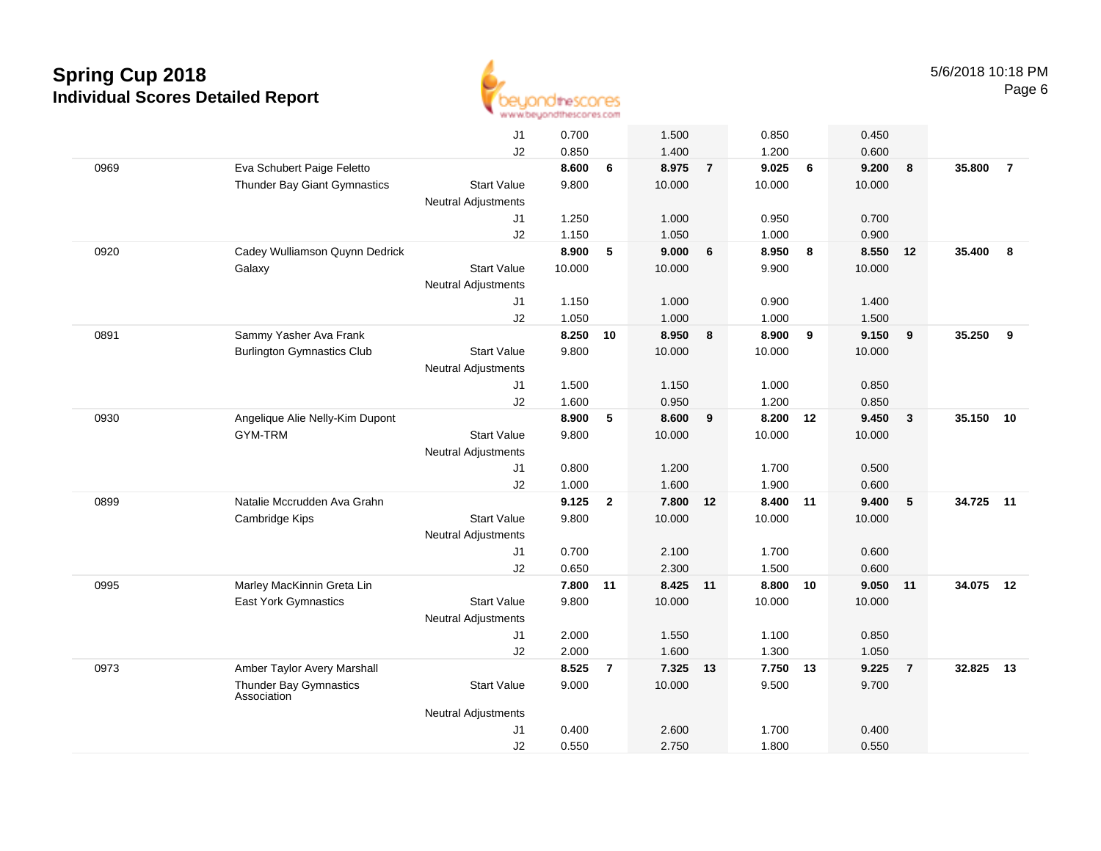

|      |                                              | J1                         | 0.700  |                | 1.500    |                | 0.850    |    | 0.450  |                |           |                |
|------|----------------------------------------------|----------------------------|--------|----------------|----------|----------------|----------|----|--------|----------------|-----------|----------------|
|      |                                              | J2                         | 0.850  |                | 1.400    |                | 1.200    |    | 0.600  |                |           |                |
| 0969 | Eva Schubert Paige Feletto                   |                            | 8.600  | 6              | 8.975    | $\overline{7}$ | 9.025    | 6  | 9.200  | 8              | 35,800    | $\overline{7}$ |
|      | Thunder Bay Giant Gymnastics                 | <b>Start Value</b>         | 9.800  |                | 10.000   |                | 10.000   |    | 10.000 |                |           |                |
|      |                                              | Neutral Adjustments        |        |                |          |                |          |    |        |                |           |                |
|      |                                              | J1                         | 1.250  |                | 1.000    |                | 0.950    |    | 0.700  |                |           |                |
|      |                                              | J2                         | 1.150  |                | 1.050    |                | 1.000    |    | 0.900  |                |           |                |
| 0920 | Cadey Wulliamson Quynn Dedrick               |                            | 8.900  | 5              | 9.000    | 6              | 8.950    | 8  | 8.550  | 12             | 35.400    | 8              |
|      | Galaxy                                       | <b>Start Value</b>         | 10.000 |                | 10.000   |                | 9.900    |    | 10.000 |                |           |                |
|      |                                              | <b>Neutral Adjustments</b> |        |                |          |                |          |    |        |                |           |                |
|      |                                              | J1                         | 1.150  |                | 1.000    |                | 0.900    |    | 1.400  |                |           |                |
|      |                                              | J2                         | 1.050  |                | 1.000    |                | 1.000    |    | 1.500  |                |           |                |
| 0891 | Sammy Yasher Ava Frank                       |                            | 8.250  | 10             | 8.950    | 8              | 8.900    | 9  | 9.150  | 9              | 35.250    | 9              |
|      | <b>Burlington Gymnastics Club</b>            | <b>Start Value</b>         | 9.800  |                | 10.000   |                | 10.000   |    | 10.000 |                |           |                |
|      |                                              | Neutral Adjustments        |        |                |          |                |          |    |        |                |           |                |
|      |                                              | J1                         | 1.500  |                | 1.150    |                | 1.000    |    | 0.850  |                |           |                |
|      |                                              | J2                         | 1.600  |                | 0.950    |                | 1.200    |    | 0.850  |                |           |                |
| 0930 | Angelique Alie Nelly-Kim Dupont              |                            | 8.900  | 5              | 8.600    | 9              | 8.200    | 12 | 9.450  | $\mathbf{3}$   | 35.150 10 |                |
|      | <b>GYM-TRM</b>                               | <b>Start Value</b>         | 9.800  |                | 10.000   |                | 10.000   |    | 10.000 |                |           |                |
|      |                                              | Neutral Adjustments        |        |                |          |                |          |    |        |                |           |                |
|      |                                              | J1                         | 0.800  |                | 1.200    |                | 1.700    |    | 0.500  |                |           |                |
|      |                                              | J2                         | 1.000  |                | 1.600    |                | 1.900    |    | 0.600  |                |           |                |
| 0899 | Natalie Mccrudden Ava Grahn                  |                            | 9.125  | $\overline{2}$ | 7.800 12 |                | 8.400 11 |    | 9.400  | 5              | 34.725 11 |                |
|      | Cambridge Kips                               | <b>Start Value</b>         | 9.800  |                | 10.000   |                | 10.000   |    | 10.000 |                |           |                |
|      |                                              | Neutral Adjustments        |        |                |          |                |          |    |        |                |           |                |
|      |                                              | J1                         | 0.700  |                | 2.100    |                | 1.700    |    | 0.600  |                |           |                |
|      |                                              | J2                         | 0.650  |                | 2.300    |                | 1.500    |    | 0.600  |                |           |                |
| 0995 | Marley MacKinnin Greta Lin                   |                            | 7.800  | 11             | 8.425 11 |                | 8.800 10 |    | 9.050  | 11             | 34.075    | 12             |
|      | East York Gymnastics                         | <b>Start Value</b>         | 9.800  |                | 10.000   |                | 10.000   |    | 10.000 |                |           |                |
|      |                                              | <b>Neutral Adjustments</b> |        |                |          |                |          |    |        |                |           |                |
|      |                                              | J1                         | 2.000  |                | 1.550    |                | 1.100    |    | 0.850  |                |           |                |
|      |                                              | J2                         | 2.000  |                | 1.600    |                | 1.300    |    | 1.050  |                |           |                |
| 0973 | Amber Taylor Avery Marshall                  |                            | 8.525  | $\overline{7}$ | 7.325    | 13             | 7.750    | 13 | 9.225  | $\overline{7}$ | 32.825    | 13             |
|      | <b>Thunder Bay Gymnastics</b><br>Association | <b>Start Value</b>         | 9.000  |                | 10.000   |                | 9.500    |    | 9.700  |                |           |                |
|      |                                              | <b>Neutral Adjustments</b> |        |                |          |                |          |    |        |                |           |                |
|      |                                              | J1                         | 0.400  |                | 2.600    |                | 1.700    |    | 0.400  |                |           |                |
|      |                                              | J2                         | 0.550  |                | 2.750    |                | 1.800    |    | 0.550  |                |           |                |
|      |                                              |                            |        |                |          |                |          |    |        |                |           |                |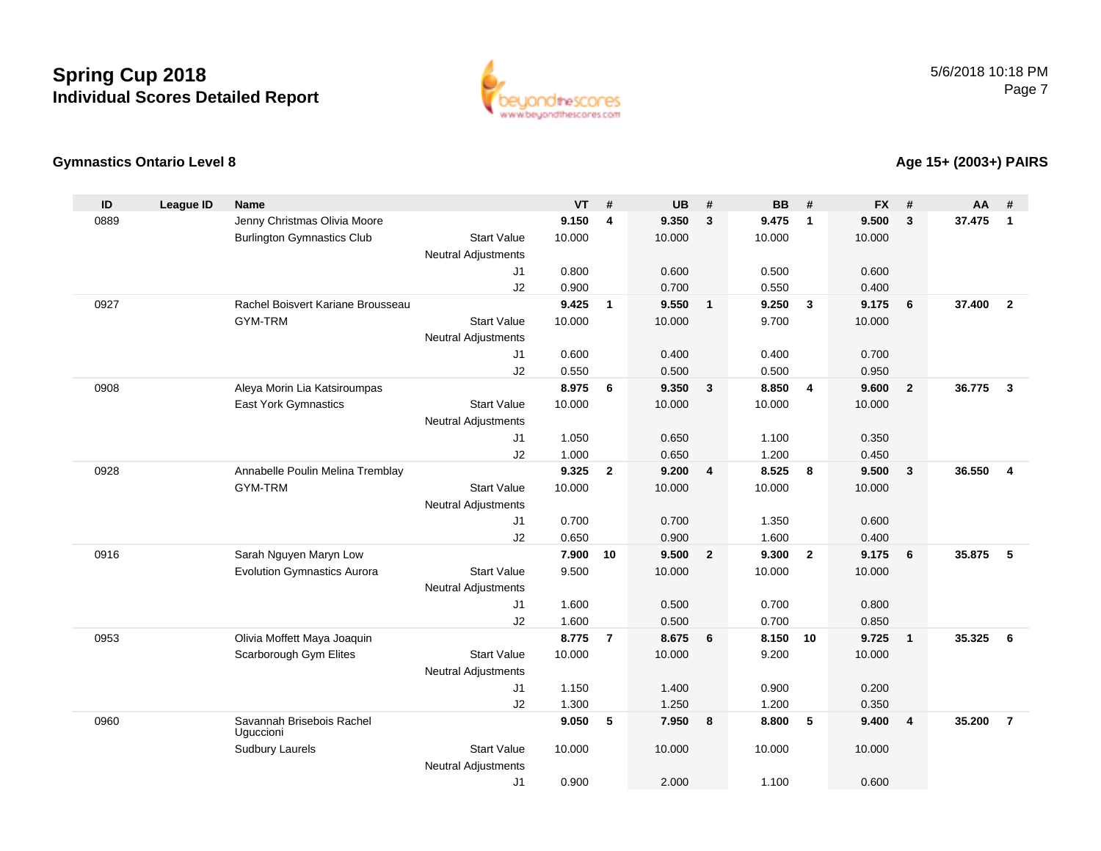

### **Gymnastics Ontario Level 8**

#### **Age 15+ (2003+) PAIRS**

| ID   | <b>League ID</b> | <b>Name</b>                            |                            | <b>VT</b>      | #              | <b>UB</b>      | #              | <b>BB</b>      | #                       | <b>FX</b>      | #                       | AA     | #                       |
|------|------------------|----------------------------------------|----------------------------|----------------|----------------|----------------|----------------|----------------|-------------------------|----------------|-------------------------|--------|-------------------------|
| 0889 |                  | Jenny Christmas Olivia Moore           |                            | 9.150          | 4              | 9.350          | $\mathbf{3}$   | 9.475          | $\overline{\mathbf{1}}$ | 9.500          | 3                       | 37.475 | $\mathbf{1}$            |
|      |                  | <b>Burlington Gymnastics Club</b>      | <b>Start Value</b>         | 10.000         |                | 10.000         |                | 10.000         |                         | 10.000         |                         |        |                         |
|      |                  |                                        | <b>Neutral Adjustments</b> |                |                |                |                |                |                         |                |                         |        |                         |
|      |                  |                                        | J1                         | 0.800          |                | 0.600          |                | 0.500          |                         | 0.600          |                         |        |                         |
|      |                  |                                        | J2                         | 0.900          |                | 0.700          |                | 0.550          |                         | 0.400          |                         |        |                         |
| 0927 |                  | Rachel Boisvert Kariane Brousseau      |                            | 9.425          | $\mathbf{1}$   | 9.550          | $\blacksquare$ | 9.250          | $\overline{\mathbf{3}}$ | 9.175          | 6                       | 37.400 | $\overline{2}$          |
|      |                  | GYM-TRM                                | <b>Start Value</b>         | 10.000         |                | 10.000         |                | 9.700          |                         | 10.000         |                         |        |                         |
|      |                  |                                        | <b>Neutral Adjustments</b> |                |                |                |                |                |                         |                |                         |        |                         |
|      |                  |                                        | J1                         | 0.600          |                | 0.400          |                | 0.400          |                         | 0.700          |                         |        |                         |
|      |                  |                                        | J2                         | 0.550          |                | 0.500          |                | 0.500          |                         | 0.950          |                         |        |                         |
| 0908 |                  | Aleya Morin Lia Katsiroumpas           |                            | 8.975          | 6              | 9.350          | $\mathbf{3}$   | 8.850          | $\overline{4}$          | 9.600          | $\overline{2}$          | 36.775 | $\mathbf{3}$            |
|      |                  | East York Gymnastics                   | <b>Start Value</b>         | 10.000         |                | 10.000         |                | 10.000         |                         | 10.000         |                         |        |                         |
|      |                  |                                        | <b>Neutral Adjustments</b> |                |                |                |                |                |                         |                |                         |        |                         |
|      |                  |                                        | J1                         | 1.050          |                | 0.650          |                | 1.100          |                         | 0.350          |                         |        |                         |
| 0928 |                  | Annabelle Poulin Melina Tremblay       | J2                         | 1.000<br>9.325 | $\overline{2}$ | 0.650<br>9.200 | $\overline{4}$ | 1.200<br>8.525 | 8                       | 0.450<br>9.500 | $\overline{\mathbf{3}}$ | 36.550 | $\overline{\mathbf{4}}$ |
|      |                  | <b>GYM-TRM</b>                         | <b>Start Value</b>         | 10.000         |                | 10.000         |                | 10.000         |                         | 10.000         |                         |        |                         |
|      |                  |                                        | Neutral Adjustments        |                |                |                |                |                |                         |                |                         |        |                         |
|      |                  |                                        | J1                         | 0.700          |                | 0.700          |                | 1.350          |                         | 0.600          |                         |        |                         |
|      |                  |                                        | J2                         | 0.650          |                | 0.900          |                | 1.600          |                         | 0.400          |                         |        |                         |
| 0916 |                  | Sarah Nguyen Maryn Low                 |                            | 7.900          | 10             | 9.500          | $\overline{2}$ | 9.300          | $\overline{2}$          | 9.175          | 6                       | 35.875 | 5                       |
|      |                  | <b>Evolution Gymnastics Aurora</b>     | <b>Start Value</b>         | 9.500          |                | 10.000         |                | 10.000         |                         | 10.000         |                         |        |                         |
|      |                  |                                        | Neutral Adjustments        |                |                |                |                |                |                         |                |                         |        |                         |
|      |                  |                                        | J1                         | 1.600          |                | 0.500          |                | 0.700          |                         | 0.800          |                         |        |                         |
|      |                  |                                        | J2                         | 1.600          |                | 0.500          |                | 0.700          |                         | 0.850          |                         |        |                         |
| 0953 |                  | Olivia Moffett Maya Joaquin            |                            | 8.775          | $\overline{7}$ | 8.675          | 6              | 8.150          | 10                      | 9.725          | $\mathbf{1}$            | 35.325 | - 6                     |
|      |                  | Scarborough Gym Elites                 | <b>Start Value</b>         | 10.000         |                | 10.000         |                | 9.200          |                         | 10.000         |                         |        |                         |
|      |                  |                                        | Neutral Adjustments        |                |                |                |                |                |                         |                |                         |        |                         |
|      |                  |                                        | J1                         | 1.150          |                | 1.400          |                | 0.900          |                         | 0.200          |                         |        |                         |
|      |                  |                                        | J2                         | 1.300          |                | 1.250          |                | 1.200          |                         | 0.350          |                         |        |                         |
| 0960 |                  | Savannah Brisebois Rachel<br>Uguccioni |                            | 9.050          | 5              | 7.950          | 8              | 8.800          | 5                       | 9.400          | $\overline{4}$          | 35.200 | $\overline{7}$          |
|      |                  | <b>Sudbury Laurels</b>                 | <b>Start Value</b>         | 10.000         |                | 10.000         |                | 10.000         |                         | 10.000         |                         |        |                         |
|      |                  |                                        | <b>Neutral Adjustments</b> |                |                |                |                |                |                         |                |                         |        |                         |
|      |                  |                                        | J1                         | 0.900          |                | 2.000          |                | 1.100          |                         | 0.600          |                         |        |                         |